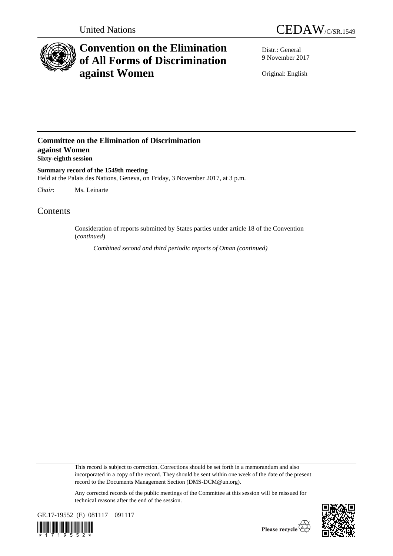



# **Convention on the Elimination of All Forms of Discrimination against Women**

Distr.: General 9 November 2017

Original: English

### **Committee on the Elimination of Discrimination against Women Sixty-eighth session**

**Summary record of the 1549th meeting** Held at the Palais des Nations, Geneva, on Friday, 3 November 2017, at 3 p.m.

*Chair*: Ms. Leinarte

## **Contents**

Consideration of reports submitted by States parties under article 18 of the Convention (*continued*)

*Combined second and third periodic reports of Oman (continued)*

This record is subject to correction. Corrections should be set forth in a memorandum and also incorporated in a copy of the record. They should be sent within one week of the date of the present record to the Documents Management Section (DMS-DCM@un.org).

Any corrected records of the public meetings of the Committee at this session will be reissued for technical reasons after the end of the session.



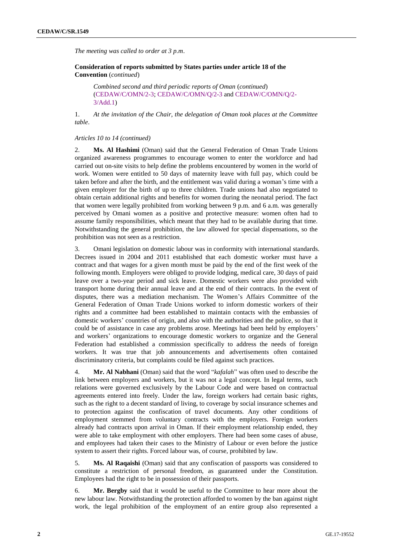*The meeting was called to order at 3 p.m*.

**Consideration of reports submitted by States parties under article 18 of the Convention** (*continued*)

*Combined second and third periodic reports of Oman* (*continued*) [\(CEDAW/C/OMN/2-3;](http://undocs.org/en/CEDAW/C/OMN/2-3) [CEDAW/C/OMN/Q/2-3](http://undocs.org/en/CEDAW/C/OMN/Q/2-3) and [CEDAW/C/OMN/Q/2-](http://undocs.org/en/CEDAW/C/OMN/Q/2-3.Add.1) [3/Add.1\)](http://undocs.org/en/CEDAW/C/OMN/Q/2-3.Add.1)

1. *At the invitation of the Chair, the delegation of Oman took places at the Committee table*.

#### *Articles 10 to 14 (continued)*

2. **Ms. Al Hashimi** (Oman) said that the General Federation of Oman Trade Unions organized awareness programmes to encourage women to enter the workforce and had carried out on-site visits to help define the problems encountered by women in the world of work. Women were entitled to 50 days of maternity leave with full pay, which could be taken before and after the birth, and the entitlement was valid during a woman's time with a given employer for the birth of up to three children. Trade unions had also negotiated to obtain certain additional rights and benefits for women during the neonatal period. The fact that women were legally prohibited from working between 9 p.m. and 6 a.m. was generally perceived by Omani women as a positive and protective measure: women often had to assume family responsibilities, which meant that they had to be available during that time. Notwithstanding the general prohibition, the law allowed for special dispensations, so the prohibition was not seen as a restriction.

3. Omani legislation on domestic labour was in conformity with international standards. Decrees issued in 2004 and 2011 established that each domestic worker must have a contract and that wages for a given month must be paid by the end of the first week of the following month. Employers were obliged to provide lodging, medical care, 30 days of paid leave over a two-year period and sick leave. Domestic workers were also provided with transport home during their annual leave and at the end of their contracts. In the event of disputes, there was a mediation mechanism. The Women's Affairs Committee of the General Federation of Oman Trade Unions worked to inform domestic workers of their rights and a committee had been established to maintain contacts with the embassies of domestic workers' countries of origin, and also with the authorities and the police, so that it could be of assistance in case any problems arose. Meetings had been held by employers' and workers' organizations to encourage domestic workers to organize and the General Federation had established a commission specifically to address the needs of foreign workers. It was true that job announcements and advertisements often contained discriminatory criteria, but complaints could be filed against such practices.

4. **Mr. Al Nabhani** (Oman) said that the word "*kafalah*" was often used to describe the link between employers and workers, but it was not a legal concept. In legal terms, such relations were governed exclusively by the Labour Code and were based on contractual agreements entered into freely. Under the law, foreign workers had certain basic rights, such as the right to a decent standard of living, to coverage by social insurance schemes and to protection against the confiscation of travel documents. Any other conditions of employment stemmed from voluntary contracts with the employers. Foreign workers already had contracts upon arrival in Oman. If their employment relationship ended, they were able to take employment with other employers. There had been some cases of abuse, and employees had taken their cases to the Ministry of Labour or even before the justice system to assert their rights. Forced labour was, of course, prohibited by law.

5. **Ms. Al Raqaishi** (Oman) said that any confiscation of passports was considered to constitute a restriction of personal freedom, as guaranteed under the Constitution. Employees had the right to be in possession of their passports.

6. **Mr. Bergby** said that it would be useful to the Committee to hear more about the new labour law. Notwithstanding the protection afforded to women by the ban against night work, the legal prohibition of the employment of an entire group also represented a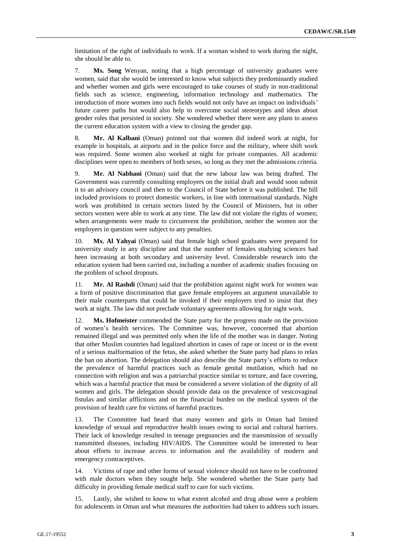limitation of the right of individuals to work. If a woman wished to work during the night, she should be able to.

7. **Ms. Song** Wenyan, noting that a high percentage of university graduates were women, said that she would be interested to know what subjects they predominantly studied and whether women and girls were encouraged to take courses of study in non-traditional fields such as science, engineering, information technology and mathematics. The introduction of more women into such fields would not only have an impact on individuals' future career paths but would also help to overcome social stereotypes and ideas about gender roles that persisted in society. She wondered whether there were any plans to assess the current education system with a view to closing the gender gap.

8. **Mr. Al Kalbani** (Oman) pointed out that women did indeed work at night, for example in hospitals, at airports and in the police force and the military, where shift work was required. Some women also worked at night for private companies. All academic disciplines were open to members of both sexes, so long as they met the admissions criteria.

9. **Mr. Al Nabhani** (Oman) said that the new labour law was being drafted. The Government was currently consulting employers on the initial draft and would soon submit it to an advisory council and then to the Council of State before it was published. The bill included provisions to protect domestic workers, in line with international standards. Night work was prohibited in certain sectors listed by the Council of Ministers, but in other sectors women were able to work at any time. The law did not violate the rights of women; when arrangements were made to circumvent the prohibition, neither the women nor the employers in question were subject to any penalties.

10. **Ms. Al Yahyai** (Oman) said that female high school graduates were prepared for university study in any discipline and that the number of females studying sciences had been increasing at both secondary and university level. Considerable research into the education system had been carried out, including a number of academic studies focusing on the problem of school dropouts.

11. **Mr. Al Rashdi** (Oman) said that the prohibition against night work for women was a form of positive discrimination that gave female employees an argument unavailable to their male counterparts that could be invoked if their employers tried to insist that they work at night. The law did not preclude voluntary agreements allowing for night work.

12. **Ms. Hofmeister** commended the State party for the progress made on the provision of women's health services. The Committee was, however, concerned that abortion remained illegal and was permitted only when the life of the mother was in danger. Noting that other Muslim countries had legalized abortion in cases of rape or incest or in the event of a serious malformation of the fetus, she asked whether the State party had plans to relax the ban on abortion. The delegation should also describe the State party's efforts to reduce the prevalence of harmful practices such as female genital mutilation, which had no connection with religion and was a patriarchal practice similar to torture, and face covering, which was a harmful practice that must be considered a severe violation of the dignity of all women and girls. The delegation should provide data on the prevalence of vesicovaginal fistulas and similar afflictions and on the financial burden on the medical system of the provision of health care for victims of harmful practices.

13. The Committee had heard that many women and girls in Oman had limited knowledge of sexual and reproductive health issues owing to social and cultural barriers. Their lack of knowledge resulted in teenage pregnancies and the transmission of sexually transmitted diseases, including HIV/AIDS. The Committee would be interested to hear about efforts to increase access to information and the availability of modern and emergency contraceptives.

14. Victims of rape and other forms of sexual violence should not have to be confronted with male doctors when they sought help. She wondered whether the State party had difficulty in providing female medical staff to care for such victims.

15. Lastly, she wished to know to what extent alcohol and drug abuse were a problem for adolescents in Oman and what measures the authorities had taken to address such issues.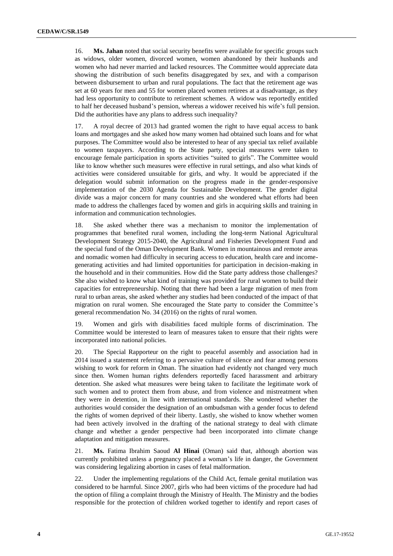16. **Ms. Jahan** noted that social security benefits were available for specific groups such as widows, older women, divorced women, women abandoned by their husbands and women who had never married and lacked resources. The Committee would appreciate data showing the distribution of such benefits disaggregated by sex, and with a comparison between disbursement to urban and rural populations. The fact that the retirement age was set at 60 years for men and 55 for women placed women retirees at a disadvantage, as they had less opportunity to contribute to retirement schemes. A widow was reportedly entitled to half her deceased husband's pension, whereas a widower received his wife's full pension. Did the authorities have any plans to address such inequality?

17. A royal decree of 2013 had granted women the right to have equal access to bank loans and mortgages and she asked how many women had obtained such loans and for what purposes. The Committee would also be interested to hear of any special tax relief available to women taxpayers. According to the State party, special measures were taken to encourage female participation in sports activities "suited to girls". The Committee would like to know whether such measures were effective in rural settings, and also what kinds of activities were considered unsuitable for girls, and why. It would be appreciated if the delegation would submit information on the progress made in the gender-responsive implementation of the 2030 Agenda for Sustainable Development. The gender digital divide was a major concern for many countries and she wondered what efforts had been made to address the challenges faced by women and girls in acquiring skills and training in information and communication technologies.

18. She asked whether there was a mechanism to monitor the implementation of programmes that benefited rural women, including the long-term National Agricultural Development Strategy 2015-2040, the Agricultural and Fisheries Development Fund and the special fund of the Oman Development Bank. Women in mountainous and remote areas and nomadic women had difficulty in securing access to education, health care and incomegenerating activities and had limited opportunities for participation in decision-making in the household and in their communities. How did the State party address those challenges? She also wished to know what kind of training was provided for rural women to build their capacities for entrepreneurship. Noting that there had been a large migration of men from rural to urban areas, she asked whether any studies had been conducted of the impact of that migration on rural women. She encouraged the State party to consider the Committee's general recommendation No. 34 (2016) on the rights of rural women.

19. Women and girls with disabilities faced multiple forms of discrimination. The Committee would be interested to learn of measures taken to ensure that their rights were incorporated into national policies.

20. The Special Rapporteur on the right to peaceful assembly and association had in 2014 issued a statement referring to a pervasive culture of silence and fear among persons wishing to work for reform in Oman. The situation had evidently not changed very much since then. Women human rights defenders reportedly faced harassment and arbitrary detention. She asked what measures were being taken to facilitate the legitimate work of such women and to protect them from abuse, and from violence and mistreatment when they were in detention, in line with international standards. She wondered whether the authorities would consider the designation of an ombudsman with a gender focus to defend the rights of women deprived of their liberty. Lastly, she wished to know whether women had been actively involved in the drafting of the national strategy to deal with climate change and whether a gender perspective had been incorporated into climate change adaptation and mitigation measures.

21. **Ms.** Fatima Ibrahim Saoud **Al Hinai** (Oman) said that, although abortion was currently prohibited unless a pregnancy placed a woman's life in danger, the Government was considering legalizing abortion in cases of fetal malformation.

22. Under the implementing regulations of the Child Act, female genital mutilation was considered to be harmful. Since 2007, girls who had been victims of the procedure had had the option of filing a complaint through the Ministry of Health. The Ministry and the bodies responsible for the protection of children worked together to identify and report cases of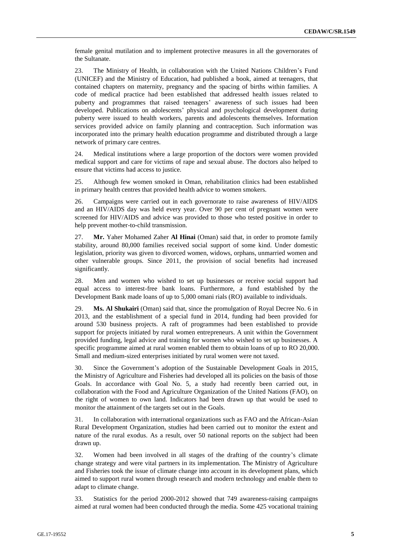female genital mutilation and to implement protective measures in all the governorates of the Sultanate.

23. The Ministry of Health, in collaboration with the United Nations Children's Fund (UNICEF) and the Ministry of Education, had published a book, aimed at teenagers, that contained chapters on maternity, pregnancy and the spacing of births within families. A code of medical practice had been established that addressed health issues related to puberty and programmes that raised teenagers' awareness of such issues had been developed. Publications on adolescents' physical and psychological development during puberty were issued to health workers, parents and adolescents themselves. Information services provided advice on family planning and contraception. Such information was incorporated into the primary health education programme and distributed through a large network of primary care centres.

24. Medical institutions where a large proportion of the doctors were women provided medical support and care for victims of rape and sexual abuse. The doctors also helped to ensure that victims had access to justice.

25. Although few women smoked in Oman, rehabilitation clinics had been established in primary health centres that provided health advice to women smokers.

26. Campaigns were carried out in each governorate to raise awareness of HIV/AIDS and an HIV/AIDS day was held every year. Over 90 per cent of pregnant women were screened for HIV/AIDS and advice was provided to those who tested positive in order to help prevent mother-to-child transmission.

27. **Mr.** Yaher Mohamed Zaher **Al Hinai** (Oman) said that, in order to promote family stability, around 80,000 families received social support of some kind. Under domestic legislation, priority was given to divorced women, widows, orphans, unmarried women and other vulnerable groups. Since 2011, the provision of social benefits had increased significantly.

28. Men and women who wished to set up businesses or receive social support had equal access to interest-free bank loans. Furthermore, a fund established by the Development Bank made loans of up to 5,000 omani rials (RO) available to individuals.

29. **Ms. Al Shukairi** (Oman) said that, since the promulgation of Royal Decree No. 6 in 2013, and the establishment of a special fund in 2014, funding had been provided for around 530 business projects. A raft of programmes had been established to provide support for projects initiated by rural women entrepreneurs. A unit within the Government provided funding, legal advice and training for women who wished to set up businesses. A specific programme aimed at rural women enabled them to obtain loans of up to RO 20,000. Small and medium-sized enterprises initiated by rural women were not taxed.

30. Since the Government's adoption of the Sustainable Development Goals in 2015, the Ministry of Agriculture and Fisheries had developed all its policies on the basis of those Goals. In accordance with Goal No. 5, a study had recently been carried out, in collaboration with the Food and Agriculture Organization of the United Nations (FAO), on the right of women to own land. Indicators had been drawn up that would be used to monitor the attainment of the targets set out in the Goals.

31. In collaboration with international organizations such as FAO and the African-Asian Rural Development Organization, studies had been carried out to monitor the extent and nature of the rural exodus. As a result, over 50 national reports on the subject had been drawn up.

32. Women had been involved in all stages of the drafting of the country's climate change strategy and were vital partners in its implementation. The Ministry of Agriculture and Fisheries took the issue of climate change into account in its development plans, which aimed to support rural women through research and modern technology and enable them to adapt to climate change.

33. Statistics for the period 2000-2012 showed that 749 awareness-raising campaigns aimed at rural women had been conducted through the media. Some 425 vocational training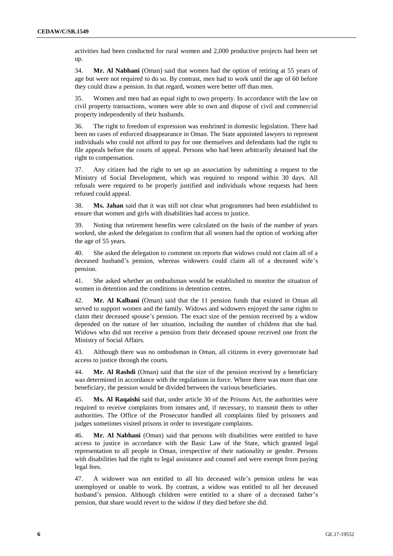activities had been conducted for rural women and 2,000 productive projects had been set up.

34. **Mr. Al Nabhani** (Oman) said that women had the option of retiring at 55 years of age but were not required to do so. By contrast, men had to work until the age of 60 before they could draw a pension. In that regard, women were better off than men.

35. Women and men had an equal right to own property. In accordance with the law on civil property transactions, women were able to own and dispose of civil and commercial property independently of their husbands.

36. The right to freedom of expression was enshrined in domestic legislation. There had been no cases of enforced disappearance in Oman. The State appointed lawyers to represent individuals who could not afford to pay for one themselves and defendants had the right to file appeals before the courts of appeal. Persons who had been arbitrarily detained had the right to compensation.

37. Any citizen had the right to set up an association by submitting a request to the Ministry of Social Development, which was required to respond within 30 days. All refusals were required to be properly justified and individuals whose requests had been refused could appeal.

38. **Ms. Jahan** said that it was still not clear what programmes had been established to ensure that women and girls with disabilities had access to justice.

39. Noting that retirement benefits were calculated on the basis of the number of years worked, she asked the delegation to confirm that all women had the option of working after the age of 55 years.

40. She asked the delegation to comment on reports that widows could not claim all of a deceased husband's pension, whereas widowers could claim all of a deceased wife's pension.

41. She asked whether an ombudsman would be established to monitor the situation of women in detention and the conditions in detention centres.

42. **Mr. Al Kalbani** (Oman) said that the 11 pension funds that existed in Oman all served to support women and the family. Widows and widowers enjoyed the same rights to claim their deceased spouse's pension. The exact size of the pension received by a widow depended on the nature of her situation, including the number of children that she had. Widows who did not receive a pension from their deceased spouse received one from the Ministry of Social Affairs.

43. Although there was no ombudsman in Oman, all citizens in every governorate had access to justice through the courts.

44. **Mr. Al Rashdi** (Oman) said that the size of the pension received by a beneficiary was determined in accordance with the regulations in force. Where there was more than one beneficiary, the pension would be divided between the various beneficiaries.

45. **Ms. Al Raqaishi** said that, under article 30 of the Prisons Act, the authorities were required to receive complaints from inmates and, if necessary, to transmit them to other authorities. The Office of the Prosecutor handled all complaints filed by prisoners and judges sometimes visited prisons in order to investigate complaints.

46. **Mr. Al Nabhani** (Oman) said that persons with disabilities were entitled to have access to justice in accordance with the Basic Law of the State, which granted legal representation to all people in Oman, irrespective of their nationality or gender. Persons with disabilities had the right to legal assistance and counsel and were exempt from paying legal fees.

47. A widower was not entitled to all his deceased wife's pension unless he was unemployed or unable to work. By contrast, a widow was entitled to all her deceased husband's pension. Although children were entitled to a share of a deceased father's pension, that share would revert to the widow if they died before she did.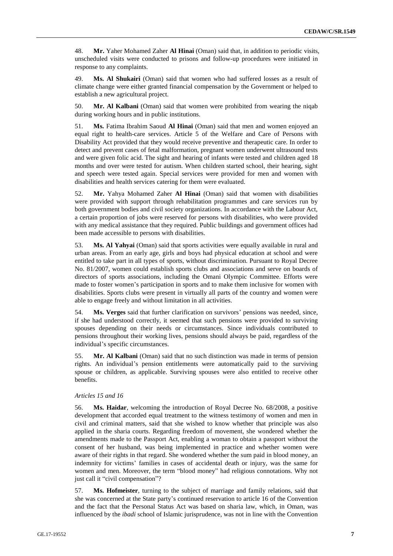48. **Mr.** Yaher Mohamed Zaher **Al Hinai** (Oman) said that, in addition to periodic visits, unscheduled visits were conducted to prisons and follow-up procedures were initiated in response to any complaints.

49. **Ms. Al Shukairi** (Oman) said that women who had suffered losses as a result of climate change were either granted financial compensation by the Government or helped to establish a new agricultural project.

50. **Mr. Al Kalbani** (Oman) said that women were prohibited from wearing the niqab during working hours and in public institutions.

51. **Ms.** Fatima Ibrahim Saoud **Al Hinai** (Oman) said that men and women enjoyed an equal right to health-care services. Article 5 of the Welfare and Care of Persons with Disability Act provided that they would receive preventive and therapeutic care. In order to detect and prevent cases of fetal malformation, pregnant women underwent ultrasound tests and were given folic acid. The sight and hearing of infants were tested and children aged 18 months and over were tested for autism. When children started school, their hearing, sight and speech were tested again. Special services were provided for men and women with disabilities and health services catering for them were evaluated.

52. **Mr.** Yahya Mohamed Zaher **Al Hinai** (Oman) said that women with disabilities were provided with support through rehabilitation programmes and care services run by both government bodies and civil society organizations. In accordance with the Labour Act, a certain proportion of jobs were reserved for persons with disabilities, who were provided with any medical assistance that they required. Public buildings and government offices had been made accessible to persons with disabilities.

53. **Ms. Al Yahyai** (Oman) said that sports activities were equally available in rural and urban areas. From an early age, girls and boys had physical education at school and were entitled to take part in all types of sports, without discrimination. Pursuant to Royal Decree No. 81/2007, women could establish sports clubs and associations and serve on boards of directors of sports associations, including the Omani Olympic Committee. Efforts were made to foster women's participation in sports and to make them inclusive for women with disabilities. Sports clubs were present in virtually all parts of the country and women were able to engage freely and without limitation in all activities.

54. **Ms. Verges** said that further clarification on survivors' pensions was needed, since, if she had understood correctly, it seemed that such pensions were provided to surviving spouses depending on their needs or circumstances. Since individuals contributed to pensions throughout their working lives, pensions should always be paid, regardless of the individual's specific circumstances.

55. **Mr. Al Kalbani** (Oman) said that no such distinction was made in terms of pension rights. An individual's pension entitlements were automatically paid to the surviving spouse or children, as applicable. Surviving spouses were also entitled to receive other benefits.

### *Articles 15 and 16*

56. **Ms. Haidar**, welcoming the introduction of Royal Decree No. 68/2008, a positive development that accorded equal treatment to the witness testimony of women and men in civil and criminal matters, said that she wished to know whether that principle was also applied in the sharia courts. Regarding freedom of movement, she wondered whether the amendments made to the Passport Act, enabling a woman to obtain a passport without the consent of her husband, was being implemented in practice and whether women were aware of their rights in that regard. She wondered whether the sum paid in blood money, an indemnity for victims' families in cases of accidental death or injury, was the same for women and men. Moreover, the term "blood money" had religious connotations. Why not just call it "civil compensation"?

57. **Ms. Hofmeister**, turning to the subject of marriage and family relations, said that she was concerned at the State party's continued reservation to article 16 of the Convention and the fact that the Personal Status Act was based on sharia law, which, in Oman, was influenced by the *ibadi* school of Islamic jurisprudence, was not in line with the Convention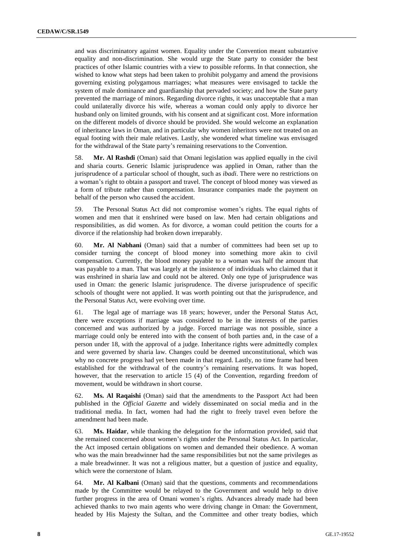and was discriminatory against women. Equality under the Convention meant substantive equality and non-discrimination. She would urge the State party to consider the best practices of other Islamic countries with a view to possible reforms. In that connection, she wished to know what steps had been taken to prohibit polygamy and amend the provisions governing existing polygamous marriages; what measures were envisaged to tackle the system of male dominance and guardianship that pervaded society; and how the State party prevented the marriage of minors. Regarding divorce rights, it was unacceptable that a man could unilaterally divorce his wife, whereas a woman could only apply to divorce her husband only on limited grounds, with his consent and at significant cost. More information on the different models of divorce should be provided. She would welcome an explanation of inheritance laws in Oman, and in particular why women inheritors were not treated on an equal footing with their male relatives. Lastly, she wondered what timeline was envisaged for the withdrawal of the State party's remaining reservations to the Convention.

58. **Mr. Al Rashdi** (Oman) said that Omani legislation was applied equally in the civil and sharia courts. Generic Islamic jurisprudence was applied in Oman, rather than the jurisprudence of a particular school of thought, such as *ibadi*. There were no restrictions on a woman's right to obtain a passport and travel. The concept of blood money was viewed as a form of tribute rather than compensation. Insurance companies made the payment on behalf of the person who caused the accident.

59. The Personal Status Act did not compromise women's rights. The equal rights of women and men that it enshrined were based on law. Men had certain obligations and responsibilities, as did women. As for divorce, a woman could petition the courts for a divorce if the relationship had broken down irreparably.

60. **Mr. Al Nabhani** (Oman) said that a number of committees had been set up to consider turning the concept of blood money into something more akin to civil compensation. Currently, the blood money payable to a woman was half the amount that was payable to a man. That was largely at the insistence of individuals who claimed that it was enshrined in sharia law and could not be altered. Only one type of jurisprudence was used in Oman: the generic Islamic jurisprudence. The diverse jurisprudence of specific schools of thought were not applied. It was worth pointing out that the jurisprudence, and the Personal Status Act, were evolving over time.

61. The legal age of marriage was 18 years; however, under the Personal Status Act, there were exceptions if marriage was considered to be in the interests of the parties concerned and was authorized by a judge. Forced marriage was not possible, since a marriage could only be entered into with the consent of both parties and, in the case of a person under 18, with the approval of a judge. Inheritance rights were admittedly complex and were governed by sharia law. Changes could be deemed unconstitutional, which was why no concrete progress had yet been made in that regard. Lastly, no time frame had been established for the withdrawal of the country's remaining reservations. It was hoped, however, that the reservation to article 15 (4) of the Convention, regarding freedom of movement, would be withdrawn in short course.

62. **Ms. Al Raqaishi** (Oman) said that the amendments to the Passport Act had been published in the *Official Gazette* and widely disseminated on social media and in the traditional media. In fact, women had had the right to freely travel even before the amendment had been made.

63. **Ms. Haidar**, while thanking the delegation for the information provided, said that she remained concerned about women's rights under the Personal Status Act. In particular, the Act imposed certain obligations on women and demanded their obedience. A woman who was the main breadwinner had the same responsibilities but not the same privileges as a male breadwinner. It was not a religious matter, but a question of justice and equality, which were the cornerstone of Islam.

64. **Mr. Al Kalbani** (Oman) said that the questions, comments and recommendations made by the Committee would be relayed to the Government and would help to drive further progress in the area of Omani women's rights. Advances already made had been achieved thanks to two main agents who were driving change in Oman: the Government, headed by His Majesty the Sultan, and the Committee and other treaty bodies, which